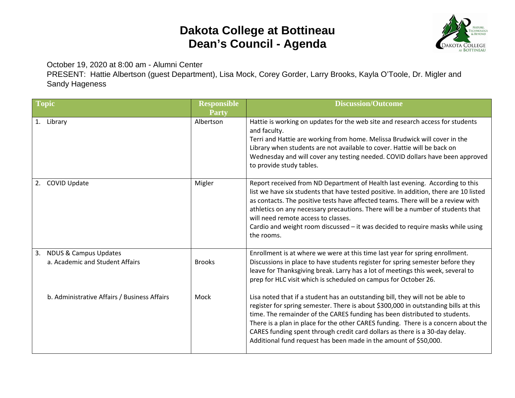## **Dakota College at Bottineau Dean's Council - Agenda**



October 19, 2020 at 8:00 am - Alumni Center

PRESENT: Hattie Albertson (guest Department), Lisa Mock, Corey Gorder, Larry Brooks, Kayla O'Toole, Dr. Migler and Sandy Hageness

| <b>Topic</b>                                                | <b>Responsible</b><br><b>Party</b> | <b>Discussion/Outcome</b>                                                                                                                                                                                                                                                                                                                                                                                                                                                                    |
|-------------------------------------------------------------|------------------------------------|----------------------------------------------------------------------------------------------------------------------------------------------------------------------------------------------------------------------------------------------------------------------------------------------------------------------------------------------------------------------------------------------------------------------------------------------------------------------------------------------|
| 1. Library                                                  | Albertson                          | Hattie is working on updates for the web site and research access for students<br>and faculty.<br>Terri and Hattie are working from home. Melissa Brudwick will cover in the<br>Library when students are not available to cover. Hattie will be back on<br>Wednesday and will cover any testing needed. COVID dollars have been approved<br>to provide study tables.                                                                                                                        |
| <b>COVID Update</b><br>2.                                   | Migler                             | Report received from ND Department of Health last evening. According to this<br>list we have six students that have tested positive. In addition, there are 10 listed<br>as contacts. The positive tests have affected teams. There will be a review with<br>athletics on any necessary precautions. There will be a number of students that<br>will need remote access to classes.<br>Cardio and weight room discussed $-$ it was decided to require masks while using<br>the rooms.        |
| 3. NDUS & Campus Updates<br>a. Academic and Student Affairs | <b>Brooks</b>                      | Enrollment is at where we were at this time last year for spring enrollment.<br>Discussions in place to have students register for spring semester before they<br>leave for Thanksgiving break. Larry has a lot of meetings this week, several to<br>prep for HLC visit which is scheduled on campus for October 26.                                                                                                                                                                         |
| b. Administrative Affairs / Business Affairs                | Mock                               | Lisa noted that if a student has an outstanding bill, they will not be able to<br>register for spring semester. There is about \$300,000 in outstanding bills at this<br>time. The remainder of the CARES funding has been distributed to students.<br>There is a plan in place for the other CARES funding. There is a concern about the<br>CARES funding spent through credit card dollars as there is a 30-day delay.<br>Additional fund request has been made in the amount of \$50,000. |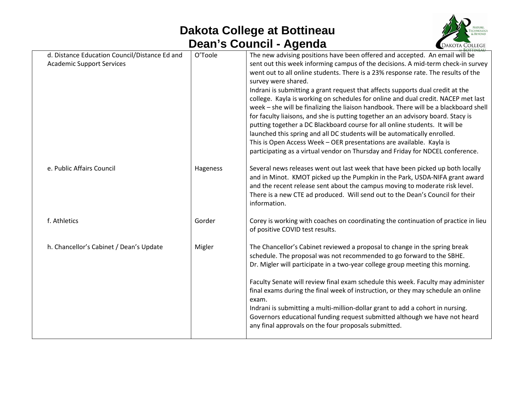## **Dakota College at Bottineau Dean's Council - Agenda**



| d. Distance Education Council/Distance Ed and<br><b>Academic Support Services</b> | O'Toole  | The new advising positions have been offered and accepted. An email will be<br>sent out this week informing campus of the decisions. A mid-term check-in survey<br>went out to all online students. There is a 23% response rate. The results of the<br>survey were shared.<br>Indrani is submitting a grant request that affects supports dual credit at the<br>college. Kayla is working on schedules for online and dual credit. NACEP met last<br>week - she will be finalizing the liaison handbook. There will be a blackboard shell<br>for faculty liaisons, and she is putting together an an advisory board. Stacy is<br>putting together a DC Blackboard course for all online students. It will be<br>launched this spring and all DC students will be automatically enrolled.<br>This is Open Access Week - OER presentations are available. Kayla is<br>participating as a virtual vendor on Thursday and Friday for NDCEL conference. |
|-----------------------------------------------------------------------------------|----------|-----------------------------------------------------------------------------------------------------------------------------------------------------------------------------------------------------------------------------------------------------------------------------------------------------------------------------------------------------------------------------------------------------------------------------------------------------------------------------------------------------------------------------------------------------------------------------------------------------------------------------------------------------------------------------------------------------------------------------------------------------------------------------------------------------------------------------------------------------------------------------------------------------------------------------------------------------|
| e. Public Affairs Council                                                         | Hageness | Several news releases went out last week that have been picked up both locally<br>and in Minot. KMOT picked up the Pumpkin in the Park, USDA-NIFA grant award<br>and the recent release sent about the campus moving to moderate risk level.<br>There is a new CTE ad produced. Will send out to the Dean's Council for their<br>information.                                                                                                                                                                                                                                                                                                                                                                                                                                                                                                                                                                                                       |
| f. Athletics                                                                      | Gorder   | Corey is working with coaches on coordinating the continuation of practice in lieu<br>of positive COVID test results.                                                                                                                                                                                                                                                                                                                                                                                                                                                                                                                                                                                                                                                                                                                                                                                                                               |
| h. Chancellor's Cabinet / Dean's Update                                           | Migler   | The Chancellor's Cabinet reviewed a proposal to change in the spring break<br>schedule. The proposal was not recommended to go forward to the SBHE.<br>Dr. Migler will participate in a two-year college group meeting this morning.<br>Faculty Senate will review final exam schedule this week. Faculty may administer<br>final exams during the final week of instruction, or they may schedule an online<br>exam.<br>Indrani is submitting a multi-million-dollar grant to add a cohort in nursing.<br>Governors educational funding request submitted although we have not heard<br>any final approvals on the four proposals submitted.                                                                                                                                                                                                                                                                                                       |